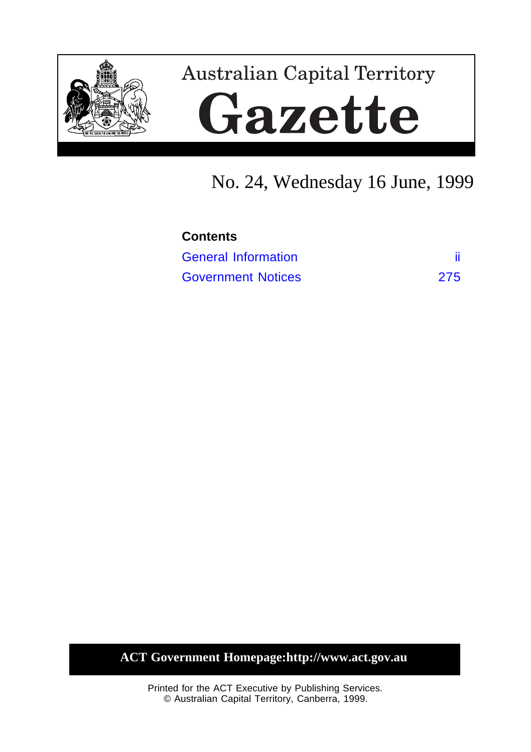

# **Australian Capital Territory** Gazette

# No. 24, Wednesday 16 June, 1999

| <b>Contents</b>            |     |
|----------------------------|-----|
| <b>General Information</b> |     |
| <b>Government Notices</b>  | 275 |

**ACT Government Homepage:http://www.act.gov.au**

Printed for the ACT Executive by Publishing Services. © Australian Capital Territory, Canberra, 1999.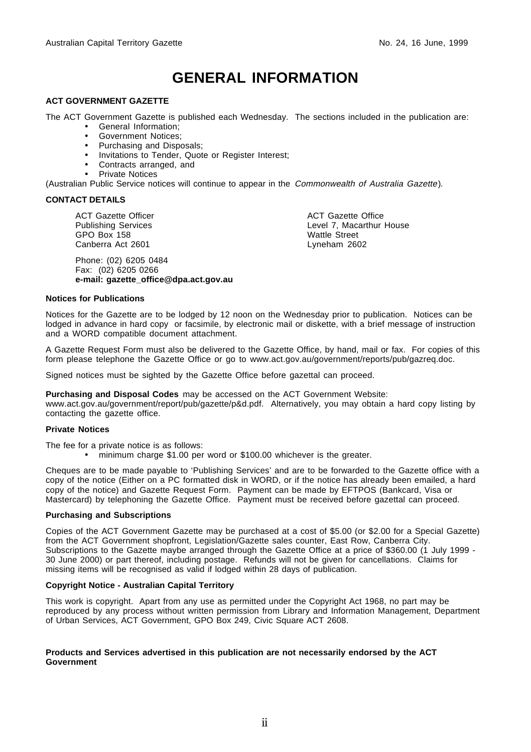# **GENERAL INFORMATION**

#### <span id="page-1-0"></span>**ACT GOVERNMENT GAZETTE**

The ACT Government Gazette is published each Wednesday. The sections included in the publication are:

- General Information;
- Government Notices;
- Purchasing and Disposals;
- Invitations to Tender, Quote or Register Interest;
- Contracts arranged, and
- Private Notices

(Australian Public Service notices will continue to appear in the Commonwealth of Australia Gazette).

#### **CONTACT DETAILS**

ACT Gazette Officer Publishing Services GPO Box 158 Canberra Act 2601

Phone: (02) 6205 0484 Fax: (02) 6205 0266 **e-mail: gazette\_office@dpa.act.gov.au** ACT Gazette Office Level 7, Macarthur House Wattle Street Lyneham 2602

#### **Notices for Publications**

Notices for the Gazette are to be lodged by 12 noon on the Wednesday prior to publication. Notices can be lodged in advance in hard copy or facsimile, by electronic mail or diskette, with a brief message of instruction and a WORD compatible document attachment.

A Gazette Request Form must also be delivered to the Gazette Office, by hand, mail or fax. For copies of this form please telephone the Gazette Office or go to www.act.gov.au/government/reports/pub/gazreq.doc.

Signed notices must be sighted by the Gazette Office before gazettal can proceed.

**Purchasing and Disposal Codes** may be accessed on the ACT Government Website:

www.act.gov.au/government/report/pub/gazette/p&d.pdf. Alternatively, you may obtain a hard copy listing by contacting the gazette office.

#### **Private Notices**

The fee for a private notice is as follows:

• minimum charge \$1.00 per word or \$100.00 whichever is the greater.

Cheques are to be made payable to 'Publishing Services' and are to be forwarded to the Gazette office with a copy of the notice (Either on a PC formatted disk in WORD, or if the notice has already been emailed, a hard copy of the notice) and Gazette Request Form. Payment can be made by EFTPOS (Bankcard, Visa or Mastercard) by telephoning the Gazette Office. Payment must be received before gazettal can proceed.

#### **Purchasing and Subscriptions**

Copies of the ACT Government Gazette may be purchased at a cost of \$5.00 (or \$2.00 for a Special Gazette) from the ACT Government shopfront, Legislation/Gazette sales counter, East Row, Canberra City. Subscriptions to the Gazette maybe arranged through the Gazette Office at a price of \$360.00 (1 July 1999 - 30 June 2000) or part thereof, including postage. Refunds will not be given for cancellations. Claims for missing items will be recognised as valid if lodged within 28 days of publication.

#### **Copyright Notice - Australian Capital Territory**

This work is copyright. Apart from any use as permitted under the Copyright Act 1968, no part may be reproduced by any process without written permission from Library and Information Management, Department of Urban Services, ACT Government, GPO Box 249, Civic Square ACT 2608.

#### **Products and Services advertised in this publication are not necessarily endorsed by the ACT Government**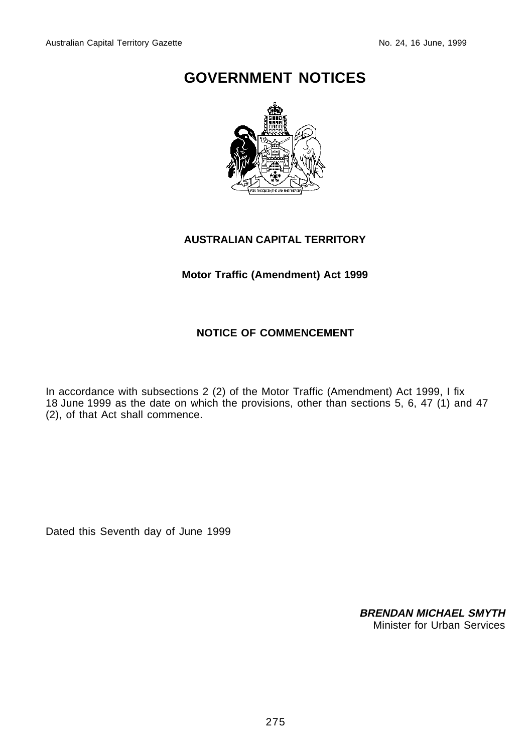# <span id="page-2-0"></span>**GOVERNMENT NOTICES**



## **AUSTRALIAN CAPITAL TERRITORY**

## **Motor Traffic (Amendment) Act 1999**

## **NOTICE OF COMMENCEMENT**

In accordance with subsections 2 (2) of the Motor Traffic (Amendment) Act 1999, I fix 18 June 1999 as the date on which the provisions, other than sections 5, 6, 47 (1) and 47 (2), of that Act shall commence.

Dated this Seventh day of June 1999

**BRENDAN MICHAEL SMYTH** Minister for Urban Services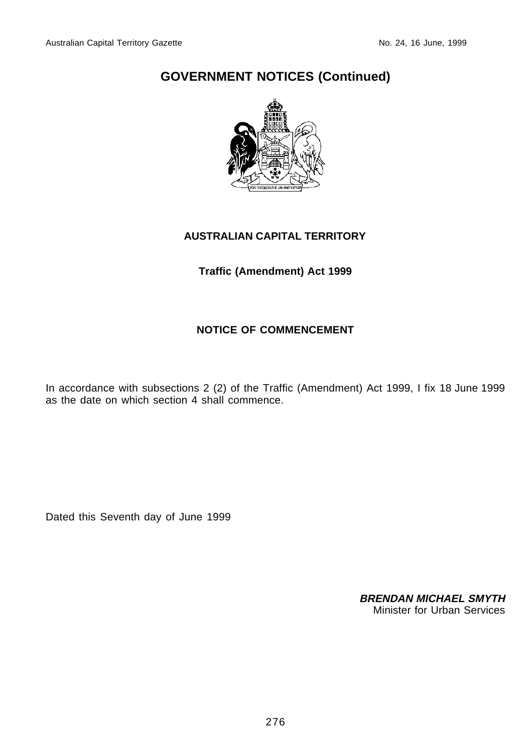

### **AUSTRALIAN CAPITAL TERRITORY**

**Traffic (Amendment) Act 1999**

## **NOTICE OF COMMENCEMENT**

In accordance with subsections 2 (2) of the Traffic (Amendment) Act 1999, I fix 18 June 1999 as the date on which section 4 shall commence.

Dated this Seventh day of June 1999

**BRENDAN MICHAEL SMYTH** Minister for Urban Services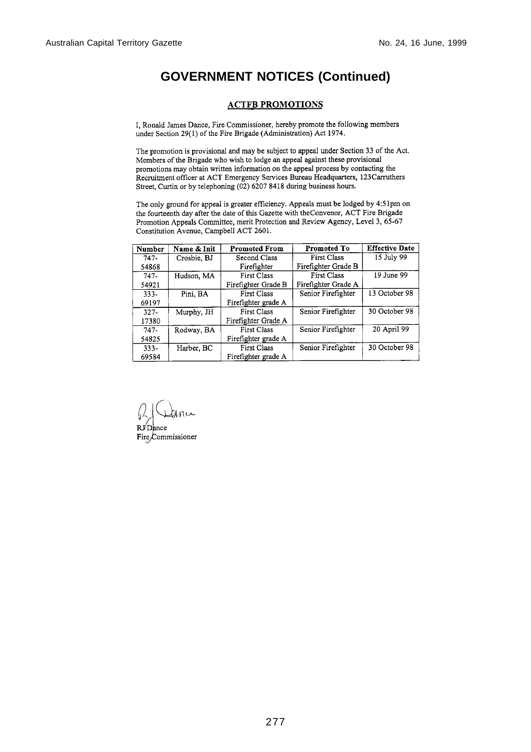#### **ACTFB PROMOTIONS**

I, Ronald James Dance, Fire Commissioner, hereby promote the following members under Section 29(1) of the Fire Brigade (Administration) Act 1974.

The promotion is provisional and may be subject to appeal under Section 33 of the Act. Members of the Brigade who wish to lodge an appeal against these provisional promotions may obtain written information on the appeal process by contacting the Recruitment officer at ACT Emergency Services Bureau Headquarters, 123Carruthers Street, Curtin or by telephoning (02) 6207 8418 during business hours.

The only ground for appeal is greater efficiency. Appeals must be lodged by 4:51pm on the fourteenth day after the date of this Gazette with the Convenor, ACT Fire Brigade Promotion Appeals Committee, merit Protection and Review Agency, Level 3, 65-67 Constitution Avenue, Campbell ACT 2601.

| Number  | Name & Init | <b>Promoted From</b> | Promoted To         | <b>Effective Date</b> |
|---------|-------------|----------------------|---------------------|-----------------------|
| $747-$  | Crosbie, BJ | Second Class         | <b>First Class</b>  | 15 July 99            |
| 54868   |             | Firefighter          | Firefighter Grade B |                       |
| $747-$  | Hudson, MA  | <b>First Class</b>   | <b>First Class</b>  | 19 June 99            |
| 54921   |             | Firefighter Grade B  | Firefighter Grade A |                       |
| $333 -$ | Pini, BA    | First Class          | Senior Firefighter  | 13 October 98         |
| 69197   |             | Firefighter grade A  |                     |                       |
| $327 -$ | Murphy, JH  | <b>First Class</b>   | Senior Firefighter  | 30 October 98         |
| 17380   |             | Firefighter Grade A  |                     |                       |
| $747-$  | Rodway, BA  | <b>First Class</b>   | Senior Firefighter  | 20 April 99           |
| 54825   |             | Firefighter grade A  |                     |                       |
| $333 -$ | Harber, BC  | <b>First Class</b>   | Senior Firefighter  | 30 October 98         |
| 69584   |             | Firefighter grade A  |                     |                       |

anu

Fire/Commissioner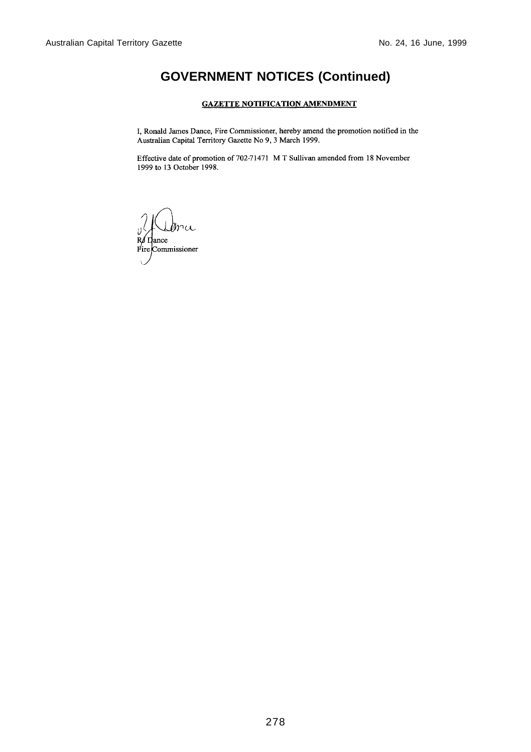#### **GAZETTE NOTIFICATION AMENDMENT**

I, Ronald James Dance, Fire Commissioner, hereby amend the promotion notified in the Australian Capital Territory Gazette No 9, 3 March 1999.

Effective date of promotion of 702-71471 M T Sullivan amended from 18 November 1999 to 13 October 1998.

r⁄ Dance Fire Commissioner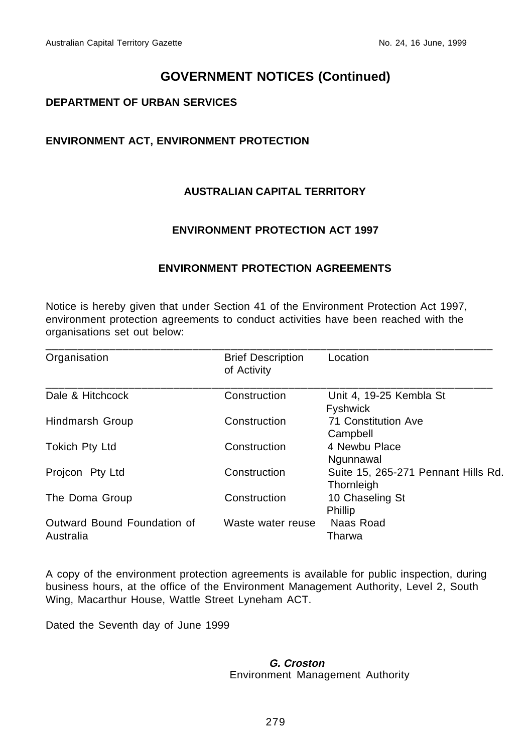### **DEPARTMENT OF URBAN SERVICES**

## **ENVIRONMENT ACT, ENVIRONMENT PROTECTION**

## **AUSTRALIAN CAPITAL TERRITORY**

### **ENVIRONMENT PROTECTION ACT 1997**

### **ENVIRONMENT PROTECTION AGREEMENTS**

Notice is hereby given that under Section 41 of the Environment Protection Act 1997, environment protection agreements to conduct activities have been reached with the organisations set out below:

| Organisation                | <b>Brief Description</b> | Location                            |
|-----------------------------|--------------------------|-------------------------------------|
|                             | of Activity              |                                     |
| Dale & Hitchcock            | Construction             | Unit 4, 19-25 Kembla St             |
|                             |                          | <b>Fyshwick</b>                     |
| Hindmarsh Group             | Construction             | 71 Constitution Ave                 |
|                             |                          | Campbell                            |
| <b>Tokich Pty Ltd</b>       | Construction             | 4 Newbu Place                       |
|                             |                          | Ngunnawal                           |
| Projcon Pty Ltd             | Construction             | Suite 15, 265-271 Pennant Hills Rd. |
|                             |                          | Thornleigh                          |
| The Doma Group              | Construction             | 10 Chaseling St                     |
|                             |                          | Phillip                             |
| Outward Bound Foundation of | Waste water reuse        | Naas Road                           |
| Australia                   |                          | Tharwa                              |

A copy of the environment protection agreements is available for public inspection, during business hours, at the office of the Environment Management Authority, Level 2, South Wing, Macarthur House, Wattle Street Lyneham ACT.

Dated the Seventh day of June 1999

#### **G. Croston** Environment Management Authority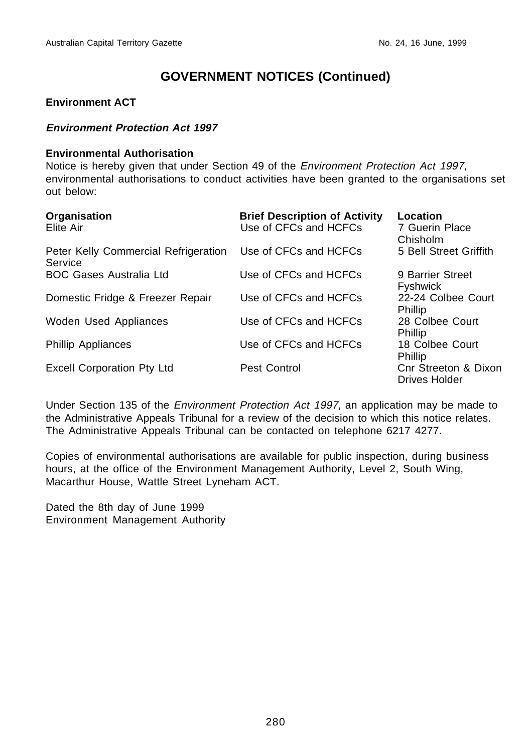#### **Environment ACT**

#### **Environment Protection Act 1997**

#### **Environmental Authorisation**

Notice is hereby given that under Section 49 of the Environment Protection Act 1997, environmental authorisations to conduct activities have been granted to the organisations set out below:

| Organisation<br>Elite Air                                             | <b>Brief Description of Activity</b><br>Use of CFCs and HCFCs | Location<br>7 Guerin Place<br>Chisholm |
|-----------------------------------------------------------------------|---------------------------------------------------------------|----------------------------------------|
| Peter Kelly Commercial Refrigeration Use of CFCs and HCFCs<br>Service |                                                               | 5 Bell Street Griffith                 |
| <b>BOC Gases Australia Ltd</b>                                        | Use of CFCs and HCFCs                                         | 9 Barrier Street<br><b>Fyshwick</b>    |
| Domestic Fridge & Freezer Repair                                      | Use of CFCs and HCFCs                                         | 22-24 Colbee Court<br>Phillip          |
| Woden Used Appliances                                                 | Use of CFCs and HCFCs                                         | 28 Colbee Court<br><b>Phillip</b>      |
| <b>Phillip Appliances</b>                                             | Use of CFCs and HCFCs                                         | 18 Colbee Court<br>Phillip             |
| <b>Excell Corporation Pty Ltd</b>                                     | Pest Control                                                  | Cnr Streeton & Dixon<br>Drives Holder  |

Under Section 135 of the Environment Protection Act 1997, an application may be made to the Administrative Appeals Tribunal for a review of the decision to which this notice relates. The Administrative Appeals Tribunal can be contacted on telephone 6217 4277.

Copies of environmental authorisations are available for public inspection, during business hours, at the office of the Environment Management Authority, Level 2, South Wing, Macarthur House, Wattle Street Lyneham ACT.

Dated the 8th day of June 1999 Environment Management Authority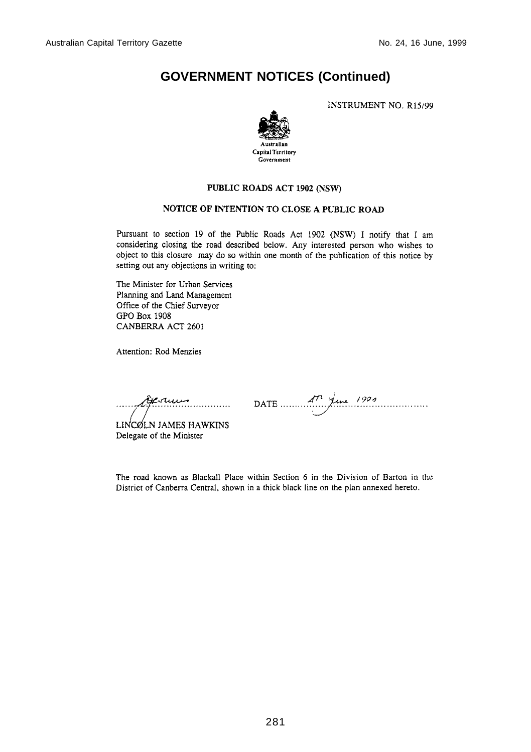**INSTRUMENT NO. R15/99** 



#### PUBLIC ROADS ACT 1902 (NSW)

#### NOTICE OF INTENTION TO CLOSE A PUBLIC ROAD

Pursuant to section 19 of the Public Roads Act 1902 (NSW) I notify that I am considering closing the road described below. Any interested person who wishes to object to this closure may do so within one month of the publication of this notice by setting out any objections in writing to:

The Minister for Urban Services Planning and Land Management Office of the Chief Surveyor GPO Box 1908 CANBERRA ACT 2601

Attention: Rod Menzies

<del>ê</del>esuu <del>.</del><br>................

LINCOLN JAMES HAWKINS Delegate of the Minister

DATE  $A^{\prime\prime}$   $\overline{f}$ une 1909

The road known as Blackall Place within Section 6 in the Division of Barton in the District of Canberra Central, shown in a thick black line on the plan annexed hereto.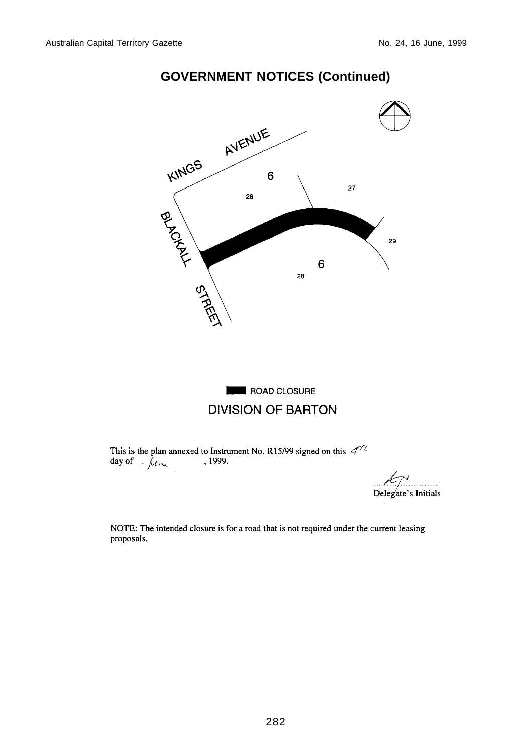

# **ROAD CLOSURE DIVISION OF BARTON**

This is the plan annexed to Instrument No. R15/99 signed on this  $\mathcal{A}^{\gamma\gamma}$  $\frac{1}{\text{day of}}$   $\frac{1}{\mu_{\text{cut}}}$  $, 1999.$ 

Delegate's Initials

NOTE: The intended closure is for a road that is not required under the current leasing proposals.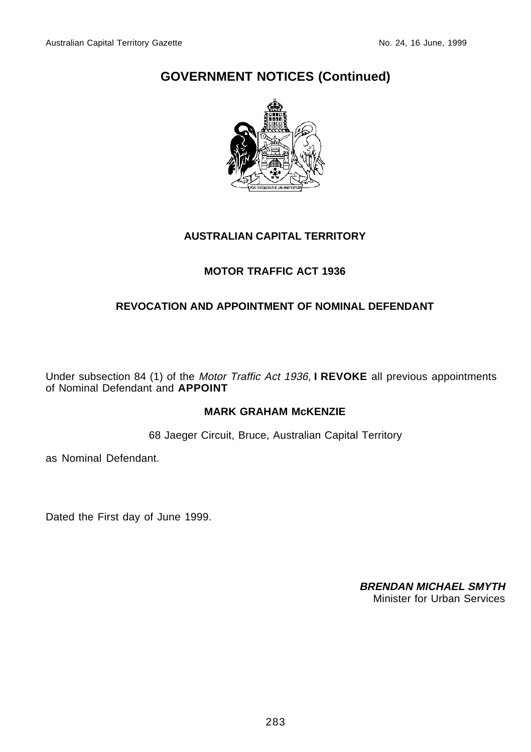

#### **AUSTRALIAN CAPITAL TERRITORY**

## **MOTOR TRAFFIC ACT 1936**

### **REVOCATION AND APPOINTMENT OF NOMINAL DEFENDANT**

Under subsection 84 (1) of the Motor Traffic Act 1936, **I REVOKE** all previous appointments of Nominal Defendant and **APPOINT**

### **MARK GRAHAM McKENZIE**

68 Jaeger Circuit, Bruce, Australian Capital Territory

as Nominal Defendant.

Dated the First day of June 1999.

**BRENDAN MICHAEL SMYTH** Minister for Urban Services